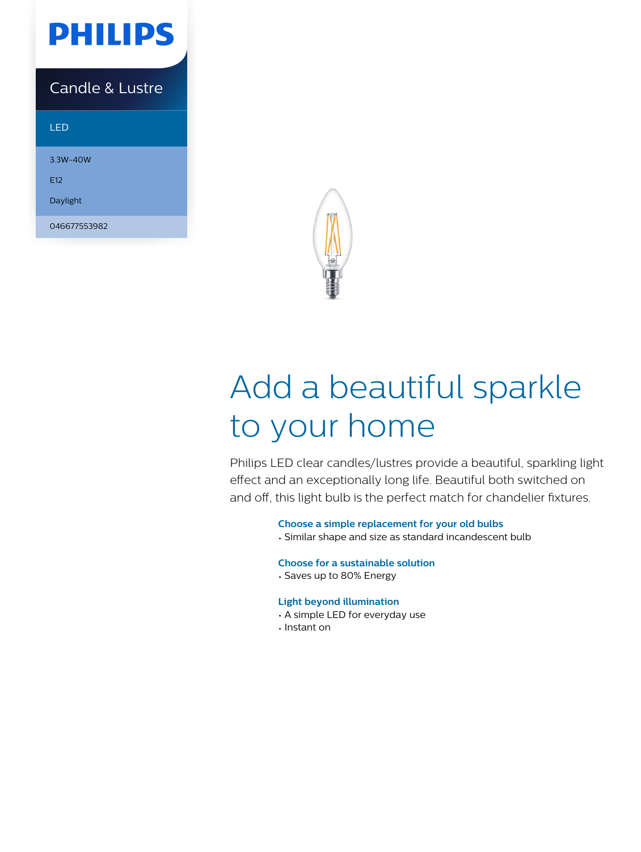

### Candle & Lustre

#### LED

3.3W-40W E12 Daylight

046677553982



# Add a beautiful sparkle to your home

Philips LED clear candles/lustres provide a beautiful, sparkling light effect and an exceptionally long life. Beautiful both switched on and off, this light bulb is the perfect match for chandelier fixtures.

#### **Choose a simple replacement for your old bulbs**

• Similar shape and size as standard incandescent bulb

#### **Choose for a sustainable solution**

• Saves up to 80% Energy

#### **Light beyond illumination**

- A simple LED for everyday use
- Instant on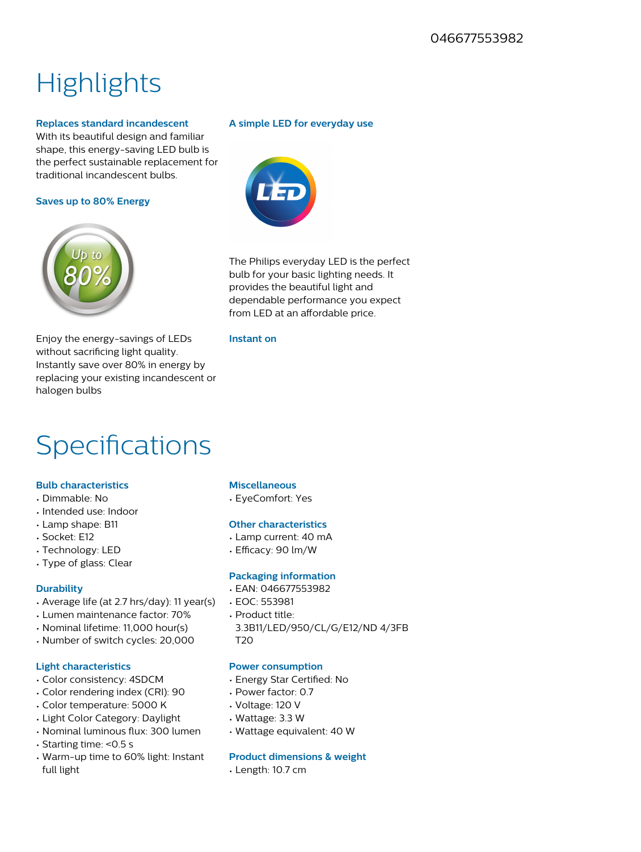## **Highlights**

#### **Replaces standard incandescent**

With its beautiful design and familiar shape, this energy-saving LED bulb is the perfect sustainable replacement for traditional incandescent bulbs.

#### **Saves up to 80% Energy**



Enjoy the energy-savings of LEDs without sacrificing light quality. Instantly save over 80% in energy by replacing your existing incandescent or halogen bulbs

### **Specifications**

#### **Bulb characteristics**

- Dimmable: No
- Intended use: Indoor
- Lamp shape: B11
- Socket: E12
- Technology: LED
- Type of glass: Clear

#### **Durability**

- Average life (at 2.7 hrs/day): 11 year(s)
- Lumen maintenance factor: 70%
- Nominal lifetime: 11,000 hour(s)
- Number of switch cycles: 20,000

#### **Light characteristics**

- Color consistency: 4SDCM
- Color rendering index (CRI): 90
- Color temperature: 5000 K
- Light Color Category: Daylight
- Nominal luminous flux: 300 lumen
- Starting time: <0.5 s
- Warm-up time to 60% light: Instant full light

**A simple LED for everyday use**

The Philips everyday LED is the perfect bulb for your basic lighting needs. It provides the beautiful light and dependable performance you expect from LED at an affordable price.

#### **Instant on**

#### **Miscellaneous**

• EyeComfort: Yes

#### **Other characteristics**

- Lamp current: 40 mA
- Efficacy: 90 lm/W

#### **Packaging information**

- EAN: 046677553982
- EOC: 553981
- Product title:
- 3.3B11/LED/950/CL/G/E12/ND 4/3FB T20

#### **Power consumption**

- Energy Star Certified: No
- Power factor: 0.7
- Voltage: 120 V
- Wattage: 3.3 W
- Wattage equivalent: 40 W

#### **Product dimensions & weight**

• Length: 10.7 cm